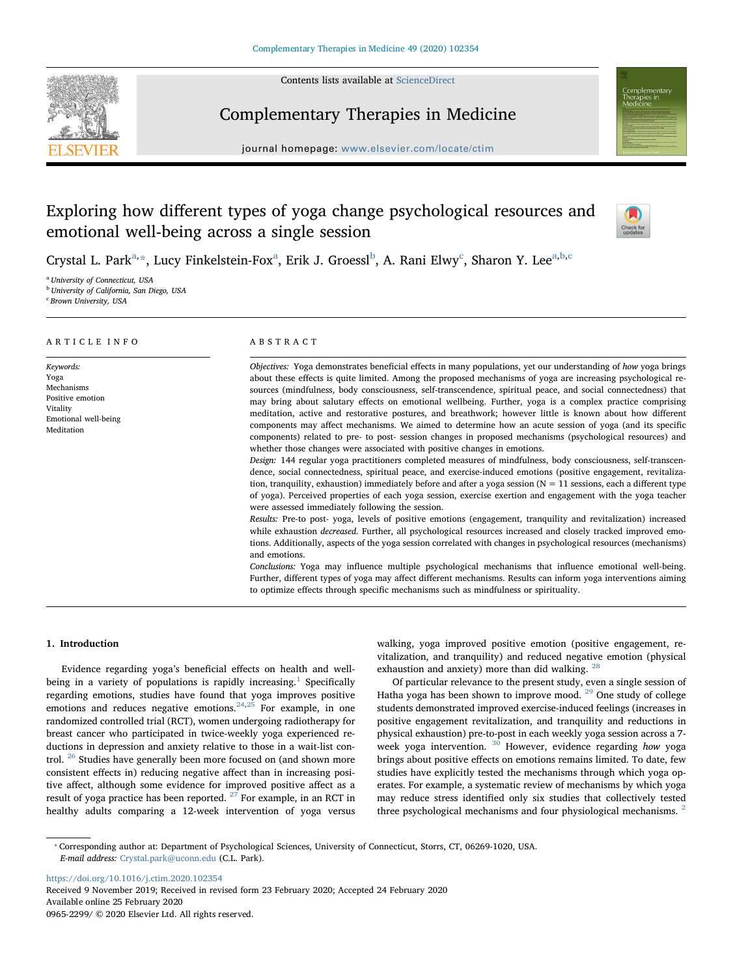

Contents lists available at [ScienceDirect](http://www.sciencedirect.com/science/journal/09652299)

# Complementary Therapies in Medicine

journal homepage: [www.elsevier.com/locate/ctim](https://www.elsevier.com/locate/ctim)



# Exploring how different types of yoga change psychological resources and emotional well-being across a single session



Cryst[a](#page-0-0)l L. Park<sup>a,</sup>[\\*,](#page-0-1) Lucy Finkelstein-Fox<sup>a</sup>, Erik J. Groessl<sup>[b](#page-0-2)</sup>, A. Rani Elwy<sup>c</sup>, Sharon Y. Lee<sup>[a,](#page-0-0)b,[c](#page-0-3)</sup>

<span id="page-0-0"></span><sup>a</sup> University of Connecticut, USA

<span id="page-0-2"></span><sup>b</sup> University of California, San Diego, USA

<span id="page-0-3"></span><sup>c</sup> Brown University, USA

| ARTICLE INFO                                                                                          | ABSTRACT                                                                                                                                                                                                                                                                                                                                                                                                                                                                                                                                                                                                                                                                                                                                                                                                                                                                                                                                                                                                                                                                                                                                                                                                                                                                                                                                                                                                                                                                                                                                                                                                                                                                                                                                                                                                                                                                                                                                                                                                                                                                                                  |
|-------------------------------------------------------------------------------------------------------|-----------------------------------------------------------------------------------------------------------------------------------------------------------------------------------------------------------------------------------------------------------------------------------------------------------------------------------------------------------------------------------------------------------------------------------------------------------------------------------------------------------------------------------------------------------------------------------------------------------------------------------------------------------------------------------------------------------------------------------------------------------------------------------------------------------------------------------------------------------------------------------------------------------------------------------------------------------------------------------------------------------------------------------------------------------------------------------------------------------------------------------------------------------------------------------------------------------------------------------------------------------------------------------------------------------------------------------------------------------------------------------------------------------------------------------------------------------------------------------------------------------------------------------------------------------------------------------------------------------------------------------------------------------------------------------------------------------------------------------------------------------------------------------------------------------------------------------------------------------------------------------------------------------------------------------------------------------------------------------------------------------------------------------------------------------------------------------------------------------|
| Keywords:<br>Yoga<br>Mechanisms<br>Positive emotion<br>Vitality<br>Emotional well-being<br>Meditation | Objectives: Yoga demonstrates beneficial effects in many populations, yet our understanding of how yoga brings<br>about these effects is quite limited. Among the proposed mechanisms of yoga are increasing psychological re-<br>sources (mindfulness, body consciousness, self-transcendence, spiritual peace, and social connectedness) that<br>may bring about salutary effects on emotional wellbeing. Further, yoga is a complex practice comprising<br>meditation, active and restorative postures, and breathwork; however little is known about how different<br>components may affect mechanisms. We aimed to determine how an acute session of yoga (and its specific<br>components) related to pre- to post- session changes in proposed mechanisms (psychological resources) and<br>whether those changes were associated with positive changes in emotions.<br>Design: 144 regular yoga practitioners completed measures of mindfulness, body consciousness, self-transcen-<br>dence, social connectedness, spiritual peace, and exercise-induced emotions (positive engagement, revitaliza-<br>tion, tranquility, exhaustion) immediately before and after a yoga session ( $N = 11$ sessions, each a different type<br>of yoga). Perceived properties of each yoga session, exercise exertion and engagement with the yoga teacher<br>were assessed immediately following the session.<br>Results: Pre-to post- yoga, levels of positive emotions (engagement, tranquility and revitalization) increased<br>while exhaustion <i>decreased</i> . Further, all psychological resources increased and closely tracked improved emo-<br>tions. Additionally, aspects of the yoga session correlated with changes in psychological resources (mechanisms)<br>and emotions.<br>Conclusions: Yoga may influence multiple psychological mechanisms that influence emotional well-being.<br>Further, different types of yoga may affect different mechanisms. Results can inform yoga interventions aiming<br>to optimize effects through specific mechanisms such as mindfulness or spirituality. |
|                                                                                                       |                                                                                                                                                                                                                                                                                                                                                                                                                                                                                                                                                                                                                                                                                                                                                                                                                                                                                                                                                                                                                                                                                                                                                                                                                                                                                                                                                                                                                                                                                                                                                                                                                                                                                                                                                                                                                                                                                                                                                                                                                                                                                                           |

# 1. Introduction

Evidence regarding yoga's beneficial effects on health and well-being in a variety of populations is rapidly increasing.<sup>[1](#page-5-0)</sup> Specifically regarding emotions, studies have found that yoga improves positive emotions and reduces negative emotions.<sup>[24,](#page-5-1)[25](#page-5-2)</sup> For example, in one randomized controlled trial (RCT), women undergoing radiotherapy for breast cancer who participated in twice-weekly yoga experienced reductions in depression and anxiety relative to those in a wait-list control. [26](#page-5-3) Studies have generally been more focused on (and shown more consistent effects in) reducing negative affect than in increasing positive affect, although some evidence for improved positive affect as a result of yoga practice has been reported. <sup>[27](#page-5-4)</sup> For example, in an RCT in healthy adults comparing a 12-week intervention of yoga versus walking, yoga improved positive emotion (positive engagement, revitalization, and tranquility) and reduced negative emotion (physical exhaustion and anxiety) more than did walking. <sup>[28](#page-5-5)</sup>

Of particular relevance to the present study, even a single session of Hatha yoga has been shown to improve mood. [29](#page-5-6) One study of college students demonstrated improved exercise-induced feelings (increases in positive engagement revitalization, and tranquility and reductions in physical exhaustion) pre-to-post in each weekly yoga session across a 7 week yoga intervention.  $30$  However, evidence regarding how yoga brings about positive effects on emotions remains limited. To date, few studies have explicitly tested the mechanisms through which yoga operates. For example, a systematic review of mechanisms by which yoga may reduce stress identified only six studies that collectively tested three psychological mechanisms and four physiological mechanisms.  $2$ 

<https://doi.org/10.1016/j.ctim.2020.102354> Received 9 November 2019; Received in revised form 23 February 2020; Accepted 24 February 2020 Available online 25 February 2020 0965-2299/ © 2020 Elsevier Ltd. All rights reserved.

<span id="page-0-1"></span><sup>⁎</sup> Corresponding author at: Department of Psychological Sciences, University of Connecticut, Storrs, CT, 06269-1020, USA. E-mail address: [Crystal.park@uconn.edu](mailto:Crystal.park@uconn.edu) (C.L. Park).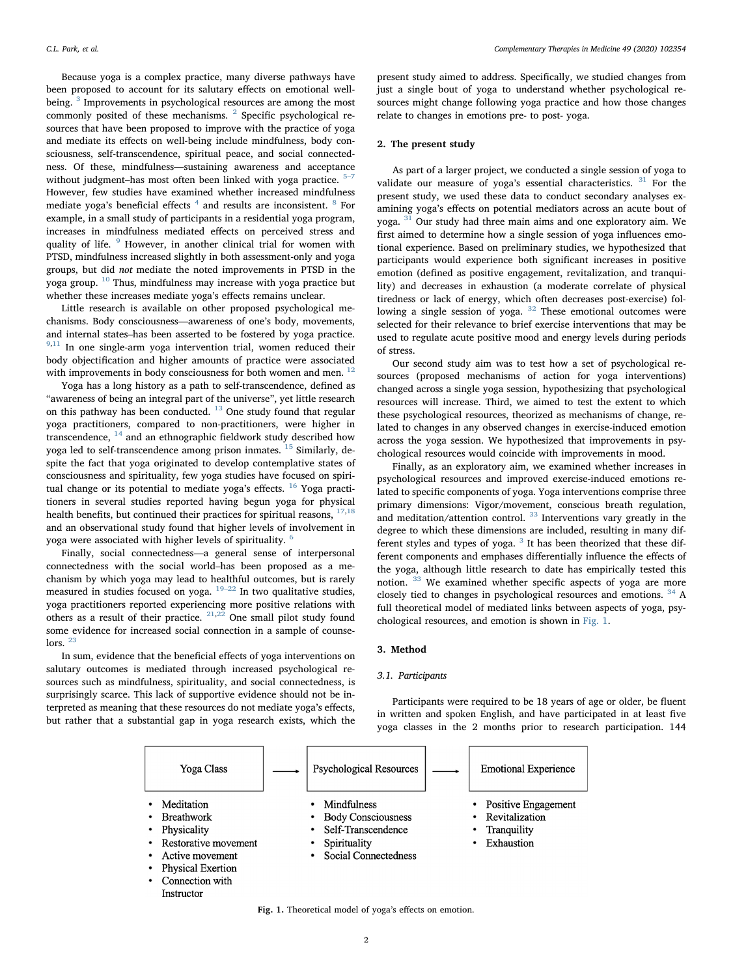Because yoga is a complex practice, many diverse pathways have been proposed to account for its salutary effects on emotional well-being.<sup>[3](#page-5-9)</sup> Improvements in psychological resources are among the most commonly posited of these mechanisms. <sup>[2](#page-5-8)</sup> Specific psychological resources that have been proposed to improve with the practice of yoga and mediate its effects on well-being include mindfulness, body consciousness, self-transcendence, spiritual peace, and social connectedness. Of these, mindfulness—sustaining awareness and acceptance without judgment–has most often been linked with yoga practice.<sup>5</sup> However, few studies have examined whether increased mindfulness mediate yoga's beneficial effects  $4$  and results are inconsistent.  $8$  For example, in a small study of participants in a residential yoga program, increases in mindfulness mediated effects on perceived stress and quality of life. <sup>[9](#page-5-13)</sup> However, in another clinical trial for women with PTSD, mindfulness increased slightly in both assessment-only and yoga groups, but did not mediate the noted improvements in PTSD in the yoga group. [10](#page-5-14) Thus, mindfulness may increase with yoga practice but whether these increases mediate yoga's effects remains unclear.

Little research is available on other proposed psychological mechanisms. Body consciousness—awareness of one's body, movements, and internal states–has been asserted to be fostered by yoga practice.  $9,11$  $9,11$  In one single-arm yoga intervention trial, women reduced their body objectification and higher amounts of practice were associated with improvements in body consciousness for both women and men.<sup>[12](#page-5-16)</sup>

Yoga has a long history as a path to self-transcendence, defined as "awareness of being an integral part of the universe", yet little research on this pathway has been conducted. <sup>[13](#page-5-17)</sup> One study found that regular yoga practitioners, compared to non-practitioners, were higher in transcendence,  $14$  and an ethnographic fieldwork study described how yoga led to self-transcendence among prison inmates. <sup>[15](#page-5-19)</sup> Similarly, despite the fact that yoga originated to develop contemplative states of consciousness and spirituality, few yoga studies have focused on spiri-tual change or its potential to mediate yoga's effects. <sup>[16](#page-5-20)</sup> Yoga practitioners in several studies reported having begun yoga for physical health benefits, but continued their practices for spiritual reasons,  $17,18$  $17,18$  $17,18$ and an observational study found that higher levels of involvement in yoga were associated with higher levels of spirituality. [6](#page-5-23)

Finally, social connectedness—a general sense of interpersonal connectedness with the social world–has been proposed as a mechanism by which yoga may lead to healthful outcomes, but is rarely measured in studies focused on yoga.  $19-22$  $19-22$  In two qualitative studies, yoga practitioners reported experiencing more positive relations with others as a result of their practice.  $21,22$  $21,22$  One small pilot study found some evidence for increased social connection in a sample of counse-lors.<sup>[23](#page-5-27)</sup>

In sum, evidence that the beneficial effects of yoga interventions on salutary outcomes is mediated through increased psychological resources such as mindfulness, spirituality, and social connectedness, is surprisingly scarce. This lack of supportive evidence should not be interpreted as meaning that these resources do not mediate yoga's effects, but rather that a substantial gap in yoga research exists, which the

Instructor

present study aimed to address. Specifically, we studied changes from just a single bout of yoga to understand whether psychological resources might change following yoga practice and how those changes relate to changes in emotions pre- to post- yoga.

## 2. The present study

As part of a larger project, we conducted a single session of yoga to validate our measure of yoga's essential characteristics. <sup>[31](#page-5-28)</sup> For the present study, we used these data to conduct secondary analyses examining yoga's effects on potential mediators across an acute bout of yoga. [31](#page-5-28) Our study had three main aims and one exploratory aim. We first aimed to determine how a single session of yoga influences emotional experience. Based on preliminary studies, we hypothesized that participants would experience both significant increases in positive emotion (defined as positive engagement, revitalization, and tranquility) and decreases in exhaustion (a moderate correlate of physical tiredness or lack of energy, which often decreases post-exercise) fol-lowing a single session of yoga. <sup>[32](#page-5-29)</sup> These emotional outcomes were selected for their relevance to brief exercise interventions that may be used to regulate acute positive mood and energy levels during periods of stress.

Our second study aim was to test how a set of psychological resources (proposed mechanisms of action for yoga interventions) changed across a single yoga session, hypothesizing that psychological resources will increase. Third, we aimed to test the extent to which these psychological resources, theorized as mechanisms of change, related to changes in any observed changes in exercise-induced emotion across the yoga session. We hypothesized that improvements in psychological resources would coincide with improvements in mood.

Finally, as an exploratory aim, we examined whether increases in psychological resources and improved exercise-induced emotions related to specific components of yoga. Yoga interventions comprise three primary dimensions: Vigor/movement, conscious breath regulation, and meditation/attention control. [33](#page-5-30) Interventions vary greatly in the degree to which these dimensions are included, resulting in many different styles and types of yoga.  $3$  It has been theorized that these different components and emphases differentially influence the effects of the yoga, although little research to date has empirically tested this notion. [33](#page-5-30) We examined whether specific aspects of yoga are more closely tied to changes in psychological resources and emotions. [34](#page-5-31) A full theoretical model of mediated links between aspects of yoga, psychological resources, and emotion is shown in [Fig. 1](#page-1-0).

## 3. Method

#### 3.1. Participants

Participants were required to be 18 years of age or older, be fluent in written and spoken English, and have participated in at least five yoga classes in the 2 months prior to research participation. 144

<span id="page-1-0"></span>

Fig. 1. Theoretical model of yoga's effects on emotion.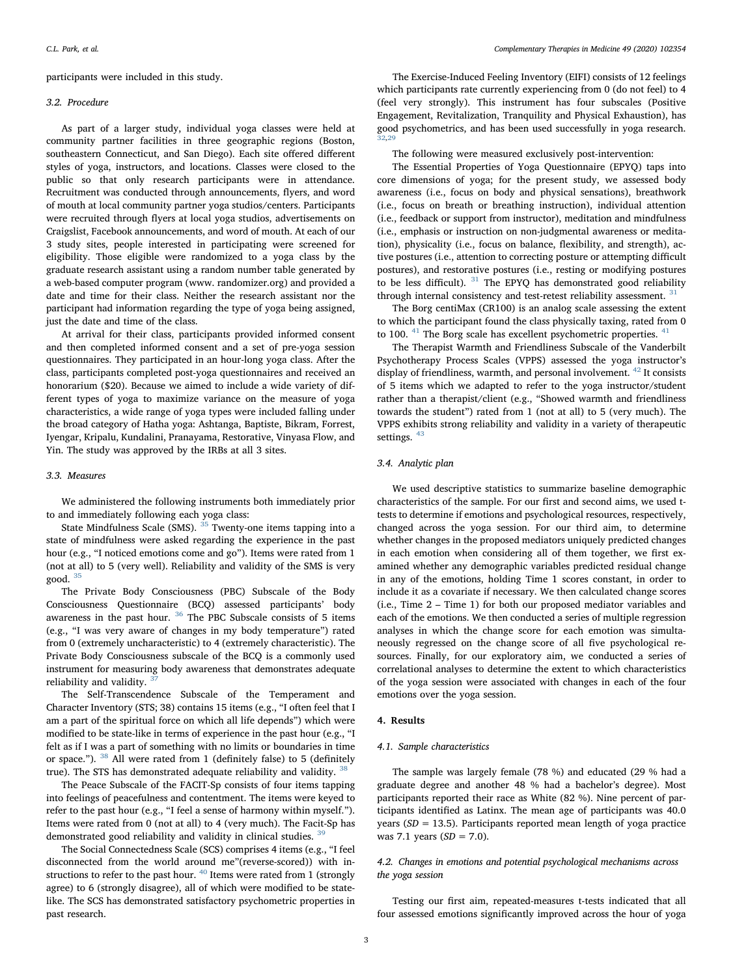participants were included in this study.

#### 3.2. Procedure

As part of a larger study, individual yoga classes were held at community partner facilities in three geographic regions (Boston, southeastern Connecticut, and San Diego). Each site offered different styles of yoga, instructors, and locations. Classes were closed to the public so that only research participants were in attendance. Recruitment was conducted through announcements, flyers, and word of mouth at local community partner yoga studios/centers. Participants were recruited through flyers at local yoga studios, advertisements on Craigslist, Facebook announcements, and word of mouth. At each of our 3 study sites, people interested in participating were screened for eligibility. Those eligible were randomized to a yoga class by the graduate research assistant using a random number table generated by a web-based computer program (www. randomizer.org) and provided a date and time for their class. Neither the research assistant nor the participant had information regarding the type of yoga being assigned, just the date and time of the class.

At arrival for their class, participants provided informed consent and then completed informed consent and a set of pre-yoga session questionnaires. They participated in an hour-long yoga class. After the class, participants completed post-yoga questionnaires and received an honorarium (\$20). Because we aimed to include a wide variety of different types of yoga to maximize variance on the measure of yoga characteristics, a wide range of yoga types were included falling under the broad category of Hatha yoga: Ashtanga, Baptiste, Bikram, Forrest, Iyengar, Kripalu, Kundalini, Pranayama, Restorative, Vinyasa Flow, and Yin. The study was approved by the IRBs at all 3 sites.

## 3.3. Measures

We administered the following instruments both immediately prior to and immediately following each yoga class:

State Mindfulness Scale (SMS).  $35$  Twenty-one items tapping into a state of mindfulness were asked regarding the experience in the past hour (e.g., "I noticed emotions come and go"). Items were rated from 1 (not at all) to 5 (very well). Reliability and validity of the SMS is very good. [35](#page-5-32)

The Private Body Consciousness (PBC) Subscale of the Body Consciousness Questionnaire (BCQ) assessed participants' body awareness in the past hour. [36](#page-5-33) The PBC Subscale consists of 5 items (e.g., "I was very aware of changes in my body temperature") rated from 0 (extremely uncharacteristic) to 4 (extremely characteristic). The Private Body Consciousness subscale of the BCQ is a commonly used instrument for measuring body awareness that demonstrates adequate reliability and validity.

The Self-Transcendence Subscale of the Temperament and Character Inventory (STS; 38) contains 15 items (e.g., "I often feel that I am a part of the spiritual force on which all life depends") which were modified to be state-like in terms of experience in the past hour (e.g., "I felt as if I was a part of something with no limits or boundaries in time or space."). [38](#page-5-35) All were rated from 1 (definitely false) to 5 (definitely true). The STS has demonstrated adequate reliability and validity.  $38$ 

The Peace Subscale of the FACIT-Sp consists of four items tapping into feelings of peacefulness and contentment. The items were keyed to refer to the past hour (e.g., "I feel a sense of harmony within myself."). Items were rated from 0 (not at all) to 4 (very much). The Facit-Sp has demonstrated good reliability and validity in clinical studies. <sup>[39](#page-5-36)</sup>

The Social Connectedness Scale (SCS) comprises 4 items (e.g., "I feel disconnected from the world around me"(reverse-scored)) with instructions to refer to the past hour.  $40$  Items were rated from 1 (strongly agree) to 6 (strongly disagree), all of which were modified to be statelike. The SCS has demonstrated satisfactory psychometric properties in past research.

The Exercise-Induced Feeling Inventory (EIFI) consists of 12 feelings which participants rate currently experiencing from 0 (do not feel) to 4 (feel very strongly). This instrument has four subscales (Positive Engagement, Revitalization, Tranquility and Physical Exhaustion), has good psychometrics, and has been used successfully in yoga research. [32](#page-5-29)[,29](#page-5-6)

The following were measured exclusively post-intervention:

The Essential Properties of Yoga Questionnaire (EPYQ) taps into core dimensions of yoga; for the present study, we assessed body awareness (i.e., focus on body and physical sensations), breathwork (i.e., focus on breath or breathing instruction), individual attention (i.e., feedback or support from instructor), meditation and mindfulness (i.e., emphasis or instruction on non-judgmental awareness or meditation), physicality (i.e., focus on balance, flexibility, and strength), active postures (i.e., attention to correcting posture or attempting difficult postures), and restorative postures (i.e., resting or modifying postures to be less difficult).  $31$  The EPYQ has demonstrated good reliability through internal consistency and test-retest reliability assessment. <sup>[31](#page-5-28)</sup>

The Borg centiMax (CR100) is an analog scale assessing the extent to which the participant found the class physically taxing, rated from 0 to 100.  $41$  The Borg scale has excellent psychometric properties.  $41$ 

The Therapist Warmth and Friendliness Subscale of the Vanderbilt Psychotherapy Process Scales (VPPS) assessed the yoga instructor's display of friendliness, warmth, and personal involvement. <sup>[42](#page-5-39)</sup> It consists of 5 items which we adapted to refer to the yoga instructor/student rather than a therapist/client (e.g., "Showed warmth and friendliness towards the student") rated from 1 (not at all) to 5 (very much). The VPPS exhibits strong reliability and validity in a variety of therapeutic settings.<sup>[43](#page-5-40)</sup>

## 3.4. Analytic plan

We used descriptive statistics to summarize baseline demographic characteristics of the sample. For our first and second aims, we used ttests to determine if emotions and psychological resources, respectively, changed across the yoga session. For our third aim, to determine whether changes in the proposed mediators uniquely predicted changes in each emotion when considering all of them together, we first examined whether any demographic variables predicted residual change in any of the emotions, holding Time 1 scores constant, in order to include it as a covariate if necessary. We then calculated change scores (i.e., Time 2 – Time 1) for both our proposed mediator variables and each of the emotions. We then conducted a series of multiple regression analyses in which the change score for each emotion was simultaneously regressed on the change score of all five psychological resources. Finally, for our exploratory aim, we conducted a series of correlational analyses to determine the extent to which characteristics of the yoga session were associated with changes in each of the four emotions over the yoga session.

#### 4. Results

## 4.1. Sample characteristics

The sample was largely female (78 %) and educated (29 % had a graduate degree and another 48 % had a bachelor's degree). Most participants reported their race as White (82 %). Nine percent of participants identified as Latinx. The mean age of participants was 40.0 years ( $SD = 13.5$ ). Participants reported mean length of yoga practice was 7.1 years  $(SD = 7.0)$ .

# 4.2. Changes in emotions and potential psychological mechanisms across the yoga session

Testing our first aim, repeated-measures t-tests indicated that all four assessed emotions significantly improved across the hour of yoga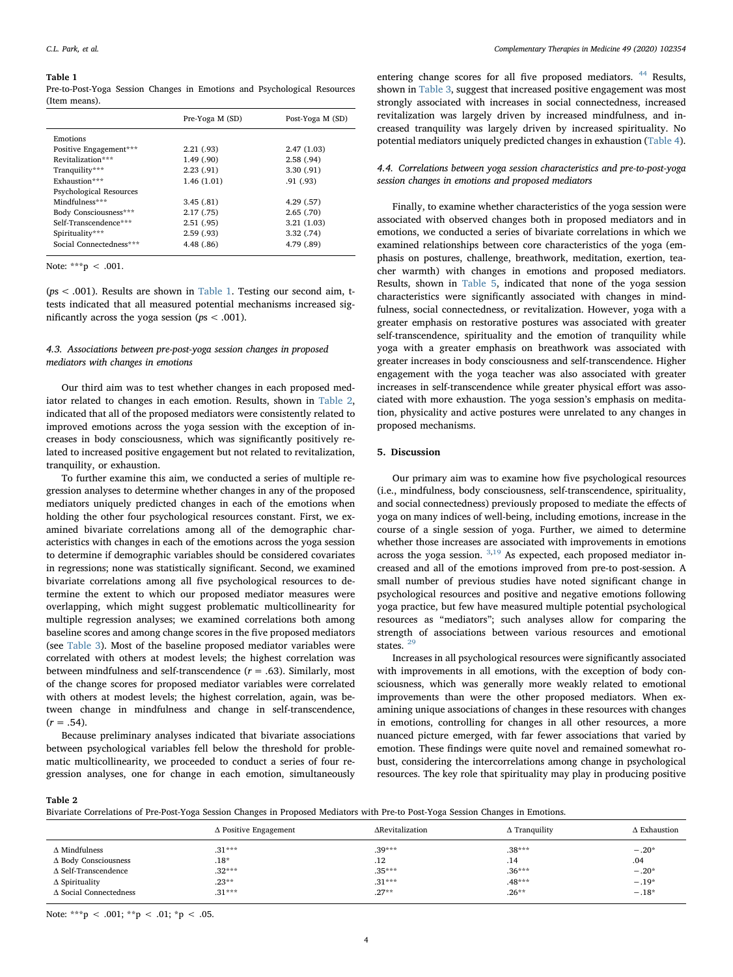#### <span id="page-3-0"></span>Table 1

Pre-to-Post-Yoga Session Changes in Emotions and Psychological Resources (Item means).

|                                | Pre-Yoga M (SD) | Post-Yoga M (SD) |
|--------------------------------|-----------------|------------------|
| Emotions                       |                 |                  |
| Positive Engagement***         | 2.21(0.93)      | 2.47(1.03)       |
| Revitalization***              | 1.49(.90)       | 2.58(.94)        |
| Tranquility***                 | 2.23(.91)       | 3.30(0.91)       |
| Exhaustion***                  | 1.46(1.01)      | .91(0.93)        |
| <b>Psychological Resources</b> |                 |                  |
| Mindfulness***                 | 3.45(.81)       | 4.29(.57)        |
| Body Consciousness***          | 2.17(0.75)      | 2.65(.70)        |
| Self-Transcendence***          | 2.51(.95)       | 3.21(1.03)       |
| Spirituality***                | 2.59(0.93)      | 3.32(.74)        |
| Social Connectedness***        | 4.48 (.86)      | 4.79 (.89)       |

Note: \*\*\*p < .001.

(ps < .001). Results are shown in [Table 1](#page-3-0). Testing our second aim, ttests indicated that all measured potential mechanisms increased significantly across the yoga session ( $ps < .001$ ).

# 4.3. Associations between pre-post-yoga session changes in proposed mediators with changes in emotions

Our third aim was to test whether changes in each proposed mediator related to changes in each emotion. Results, shown in [Table 2](#page-3-1), indicated that all of the proposed mediators were consistently related to improved emotions across the yoga session with the exception of increases in body consciousness, which was significantly positively related to increased positive engagement but not related to revitalization, tranquility, or exhaustion.

To further examine this aim, we conducted a series of multiple regression analyses to determine whether changes in any of the proposed mediators uniquely predicted changes in each of the emotions when holding the other four psychological resources constant. First, we examined bivariate correlations among all of the demographic characteristics with changes in each of the emotions across the yoga session to determine if demographic variables should be considered covariates in regressions; none was statistically significant. Second, we examined bivariate correlations among all five psychological resources to determine the extent to which our proposed mediator measures were overlapping, which might suggest problematic multicollinearity for multiple regression analyses; we examined correlations both among baseline scores and among change scores in the five proposed mediators (see [Table 3\)](#page-4-0). Most of the baseline proposed mediator variables were correlated with others at modest levels; the highest correlation was between mindfulness and self-transcendence  $(r = .63)$ . Similarly, most of the change scores for proposed mediator variables were correlated with others at modest levels; the highest correlation, again, was between change in mindfulness and change in self-transcendence,  $(r = .54)$ .

Because preliminary analyses indicated that bivariate associations between psychological variables fell below the threshold for problematic multicollinearity, we proceeded to conduct a series of four regression analyses, one for change in each emotion, simultaneously

entering change scores for all five proposed mediators. <sup>[44](#page-5-41)</sup> Results, shown in [Table 3,](#page-4-0) suggest that increased positive engagement was most strongly associated with increases in social connectedness, increased revitalization was largely driven by increased mindfulness, and increased tranquility was largely driven by increased spirituality. No potential mediators uniquely predicted changes in exhaustion ([Table 4](#page-4-1)).

# 4.4. Correlations between yoga session characteristics and pre-to-post-yoga session changes in emotions and proposed mediators

Finally, to examine whether characteristics of the yoga session were associated with observed changes both in proposed mediators and in emotions, we conducted a series of bivariate correlations in which we examined relationships between core characteristics of the yoga (emphasis on postures, challenge, breathwork, meditation, exertion, teacher warmth) with changes in emotions and proposed mediators. Results, shown in [Table 5,](#page-4-2) indicated that none of the yoga session characteristics were significantly associated with changes in mindfulness, social connectedness, or revitalization. However, yoga with a greater emphasis on restorative postures was associated with greater self-transcendence, spirituality and the emotion of tranquility while yoga with a greater emphasis on breathwork was associated with greater increases in body consciousness and self-transcendence. Higher engagement with the yoga teacher was also associated with greater increases in self-transcendence while greater physical effort was associated with more exhaustion. The yoga session's emphasis on meditation, physicality and active postures were unrelated to any changes in proposed mechanisms.

## 5. Discussion

Our primary aim was to examine how five psychological resources (i.e., mindfulness, body consciousness, self-transcendence, spirituality, and social connectedness) previously proposed to mediate the effects of yoga on many indices of well-being, including emotions, increase in the course of a single session of yoga. Further, we aimed to determine whether those increases are associated with improvements in emotions across the yoga session.  $3,19$  $3,19$  As expected, each proposed mediator increased and all of the emotions improved from pre-to post-session. A small number of previous studies have noted significant change in psychological resources and positive and negative emotions following yoga practice, but few have measured multiple potential psychological resources as "mediators"; such analyses allow for comparing the strength of associations between various resources and emotional states  $^{29}$  $^{29}$  $^{29}$ 

Increases in all psychological resources were significantly associated with improvements in all emotions, with the exception of body consciousness, which was generally more weakly related to emotional improvements than were the other proposed mediators. When examining unique associations of changes in these resources with changes in emotions, controlling for changes in all other resources, a more nuanced picture emerged, with far fewer associations that varied by emotion. These findings were quite novel and remained somewhat robust, considering the intercorrelations among change in psychological resources. The key role that spirituality may play in producing positive

<span id="page-3-1"></span>Table 2

|  |  | Bivariate Correlations of Pre-Post-Yoga Session Changes in Proposed Mediators with Pre-to Post-Yoga Session Changes in Emotions. |  |  |
|--|--|----------------------------------------------------------------------------------------------------------------------------------|--|--|
|  |  |                                                                                                                                  |  |  |

|                                  | $\Delta$ Positive Engagement | ∆Revitalization | $\Delta$ Tranquility | $\Delta$ Exhaustion |
|----------------------------------|------------------------------|-----------------|----------------------|---------------------|
| $\Delta$ Mindfulness             | $.31***$                     | $.39***$        | $.38***$             | $-.20*$             |
| ∆ Body Consciousness             | $.18*$                       | .12             | .14                  | .04                 |
| $\Delta$ Self-Transcendence      | $.32***$                     | $.35***$        | $.36***$             | $-.20*$             |
| $\Delta$ Spirituality            | $.23***$                     | $.31***$        | $.48***$             | $-.19*$             |
| $\triangle$ Social Connectedness | $.31***$                     | $.27**$         | $.26***$             | $-.18*$             |

Note: \*\*\*p < .001; \*\*p < .01; \*p < .05.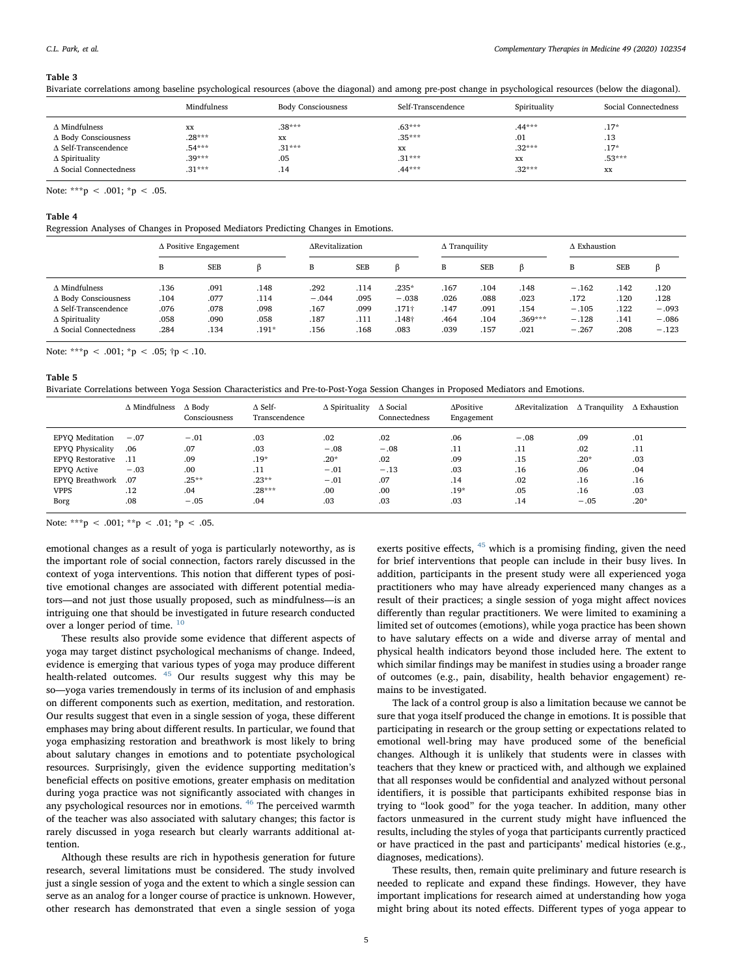#### <span id="page-4-0"></span>Table 3

Bivariate correlations among baseline psychological resources (above the diagonal) and among pre-post change in psychological resources (below the diagonal).

|                               | Mindfulness | <b>Body Consciousness</b> | Self-Transcendence | Spirituality | Social Connectedness |
|-------------------------------|-------------|---------------------------|--------------------|--------------|----------------------|
| $\Delta$ Mindfulness          | XX          | $.38***$                  | $.63***$           | $.44***$     | $.17*$               |
| ∆ Body Consciousness          | $.28***$    | XX                        | $.35***$           | .01          | .13                  |
| $\Delta$ Self-Transcendence   | $.54***$    | $.31***$                  | <b>XX</b>          | $.32***$     | $.17*$               |
| $\Delta$ Spirituality         | $.39***$    | .05                       | $.31***$           | XX           | $.53***$             |
| $\Delta$ Social Connectedness | $.31***$    | .14                       | $.44***$           | $.32***$     | XX                   |

Note: \*\*\*p < .001; \*p < .05.

#### <span id="page-4-1"></span>Table 4

<span id="page-4-2"></span>Table 5

Regression Analyses of Changes in Proposed Mediators Predicting Changes in Emotions.

|                             | $\Delta$ Positive Engagement |            |         | ∆Revitalization |      | $\Delta$ Tranquility |      |            | $\Delta$ Exhaustion |         |      |         |
|-----------------------------|------------------------------|------------|---------|-----------------|------|----------------------|------|------------|---------------------|---------|------|---------|
|                             | B                            | <b>SEB</b> |         | B               | SEB  |                      | В    | <b>SEB</b> |                     | B       | SEB  | ß       |
| $\Lambda$ Mindfulness       | .136                         | .091       | .148    | .292            | .114 | $235*$               | .167 | .104       | .148                | $-.162$ | .142 | .120    |
| ∆ Body Consciousness        | .104                         | .077       | .114    | $-.044$         | .095 | $-.038$              | .026 | .088       | .023                | .172    | .120 | .128    |
| $\Delta$ Self-Transcendence | .076                         | .078       | .098    | .167            | .099 | .171†                | .147 | .091       | .154                | $-.105$ | .122 | $-.093$ |
| $\Delta$ Spirituality       | .058                         | .090       | .058    | .187            | .111 | .148†                | .464 | .104       | $.369***$           | $-.128$ | .141 | $-.086$ |
| A Social Connectedness      | .284                         | .134       | $.191*$ | .156            | .168 | .083                 | .039 | .157       | .021                | $-.267$ | .208 | $-.123$ |

Note: \*\*\*p < .001; \*p < .05;  $\uparrow p$  < .10.

Bivariate Correlations between Yoga Session Characteristics and Pre-to-Post-Yoga Session Changes in Proposed Mediators and Emotions.

|                         | $\Delta$ Mindfulness | $\Delta$ Body<br>Consciousness | $\triangle$ Self-<br>Transcendence | $\Delta$ Spirituality | $\triangle$ Social<br>Connectedness | ΔPositive<br>Engagement | ∆Revitalization | $\Delta$ Tranquility | $\Delta$ Exhaustion |
|-------------------------|----------------------|--------------------------------|------------------------------------|-----------------------|-------------------------------------|-------------------------|-----------------|----------------------|---------------------|
| <b>EPYO</b> Meditation  | $-.07$               | $-.01$                         | .03                                | .02                   | .02                                 | .06                     | $-.08$          | .09                  | .01                 |
| <b>EPYO Physicality</b> | .06                  | .07                            | .03                                | $-.08$                | $-.08$                              | .11                     | .11             | .02                  | .11                 |
| <b>EPYO Restorative</b> | .11                  | .09                            | $.19*$                             | $.20*$                | .02                                 | .09                     | .15             | $.20*$               | .03                 |
| <b>EPYO Active</b>      | $-.03$               | .00                            | .11                                | $-.01$                | $-.13$                              | .03                     | .16             | .06                  | .04                 |
| <b>EPYO Breathwork</b>  | .07                  | $.25***$                       | $.23**$                            | $-.01$                | .07                                 | .14                     | .02             | .16                  | .16                 |
| <b>VPPS</b>             | .12                  | .04                            | $.28***$                           | .00                   | .00                                 | $.19*$                  | .05             | .16                  | .03                 |
| Borg                    | .08                  | $-.05$                         | .04                                | .03                   | .03                                 | .03                     | .14             | $-.05$               | $.20*$              |

Note: \*\*\*p < .001; \*\*p < .01; \*p < .05.

emotional changes as a result of yoga is particularly noteworthy, as is the important role of social connection, factors rarely discussed in the context of yoga interventions. This notion that different types of positive emotional changes are associated with different potential mediators—and not just those usually proposed, such as mindfulness—is an intriguing one that should be investigated in future research conducted over a longer period of time. <sup>[10](#page-5-14)</sup>

These results also provide some evidence that different aspects of yoga may target distinct psychological mechanisms of change. Indeed, evidence is emerging that various types of yoga may produce different health-related outcomes. <sup>[45](#page-5-42)</sup> Our results suggest why this may be so—yoga varies tremendously in terms of its inclusion of and emphasis on different components such as exertion, meditation, and restoration. Our results suggest that even in a single session of yoga, these different emphases may bring about different results. In particular, we found that yoga emphasizing restoration and breathwork is most likely to bring about salutary changes in emotions and to potentiate psychological resources. Surprisingly, given the evidence supporting meditation's beneficial effects on positive emotions, greater emphasis on meditation during yoga practice was not significantly associated with changes in any psychological resources nor in emotions. [46](#page-5-43) The perceived warmth of the teacher was also associated with salutary changes; this factor is rarely discussed in yoga research but clearly warrants additional attention.

Although these results are rich in hypothesis generation for future research, several limitations must be considered. The study involved just a single session of yoga and the extent to which a single session can serve as an analog for a longer course of practice is unknown. However, other research has demonstrated that even a single session of yoga

exerts positive effects,  $45$  which is a promising finding, given the need for brief interventions that people can include in their busy lives. In addition, participants in the present study were all experienced yoga practitioners who may have already experienced many changes as a result of their practices; a single session of yoga might affect novices differently than regular practitioners. We were limited to examining a limited set of outcomes (emotions), while yoga practice has been shown to have salutary effects on a wide and diverse array of mental and physical health indicators beyond those included here. The extent to which similar findings may be manifest in studies using a broader range of outcomes (e.g., pain, disability, health behavior engagement) remains to be investigated.

The lack of a control group is also a limitation because we cannot be sure that yoga itself produced the change in emotions. It is possible that participating in research or the group setting or expectations related to emotional well-bring may have produced some of the beneficial changes. Although it is unlikely that students were in classes with teachers that they knew or practiced with, and although we explained that all responses would be confidential and analyzed without personal identifiers, it is possible that participants exhibited response bias in trying to "look good" for the yoga teacher. In addition, many other factors unmeasured in the current study might have influenced the results, including the styles of yoga that participants currently practiced or have practiced in the past and participants' medical histories (e.g., diagnoses, medications).

These results, then, remain quite preliminary and future research is needed to replicate and expand these findings. However, they have important implications for research aimed at understanding how yoga might bring about its noted effects. Different types of yoga appear to